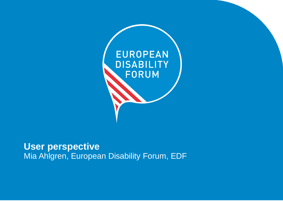

### **User perspective** Mia Ahlgren, European Disability Forum, EDF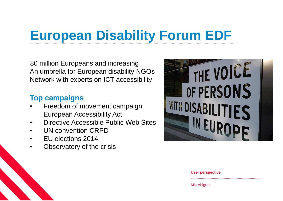## **European Disability Forum EDF**

80 million Europeans and increasing An umbrella for European disability NGOs Network with experts on ICT accessibility

### **Top campaigns**

- Freedom of movement campaign European Accessibility Act
- Directive Accessible Public Web Sites
- UN convention CRPD
- EU elections 2014
- Observatory of the crisis



**User perspective**

............................................................................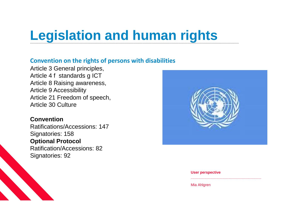## **Legislation and human rights**

#### **Convention on the rights of persons with disabilities**

Article 3 General principles, Article 4 f standards g ICT Article 8 Raising awareness, Article 9 Accessibility Article 21 Freedom of speech, Article 30 Culture

### **Convention**

Ratifications/Accessions: 147 Signatories: 158 **Optional Protocol** Ratification/Accessions: 82 Signatories: 92



#### **User perspective**

............................................................................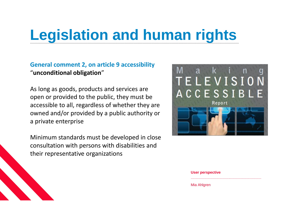## **Legislation and human rights**

### **General comment 2, on article 9 accessibility**  "**unconditional obligation**"

As long as goods, products and services are open or provided to the public, they must be accessible to all, regardless of whether they are owned and/or provided by a public authority or a private enterprise

Minimum standards must be developed in close consultation with persons with disabilities and their representative organizations



#### **User perspective**

............................................................................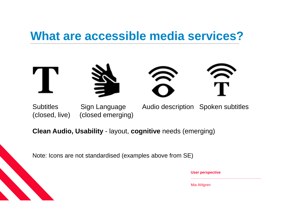### What are accessible media services?



(closed, live) (closed emerging)

Subtitles Sign Language Audio description Spoken subtitles

**Clean Audio, Usability** - layout, **cognitive** needs (emerging)

Note: Icons are not standardised (examples above from SE)

| <b>User perspective</b> |
|-------------------------|
|                         |

............................................................................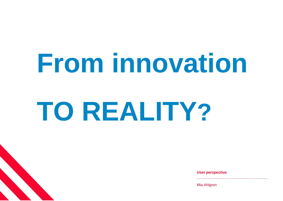# **From innovation**

# **TO REALITY?**

**User perspective**

............................................................................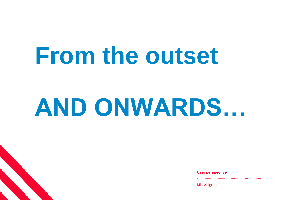## **From the outset**

# **AND ONWARDS…**

**User perspective**

............................................................................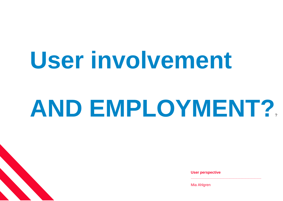# **User involvement**

# **AND EMPLOYMENT?**?

**User perspective**

............................................................................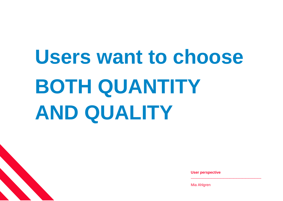# **Users want to choose BOTH QUANTITY AND QUALITY**

**User perspective**

**............................................................................**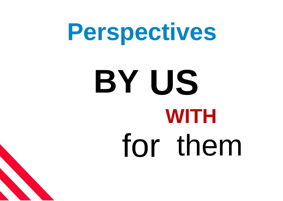

# **US BY** for them **WITH**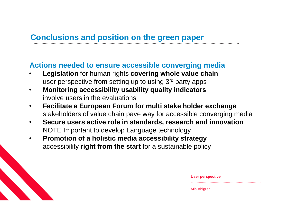#### **Conclusions and position on the green paper**  ........................................................................................................................................................................................

### **Actions needed to ensure accessible converging media**

- **Legislation** for human rights **covering whole value chain** user perspective from setting up to using 3<sup>rd</sup> party apps
- **Monitoring accessibility usability quality indicators** involve users in the evaluations
- **Facilitate a European Forum for multi stake holder exchange** stakeholders of value chain pave way for accessible converging media
- **Secure users active role in standards, research and innovation** NOTE Important to develop Language technology
- **Promotion of a holistic media accessibility strategy** accessibility **right from the start** for a sustainable policy

| <b>User perspective</b> |
|-------------------------|
| Mia Ahlgren             |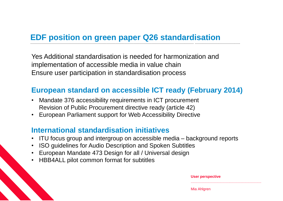#### **EDF position on green paper Q26 standardisation** ................................................................................................................................................ ........................................

Yes Additional standardisation is needed for harmonization and implementation of accessible media in value chain Ensure user participation in standardisation process

### **European standard on accessible ICT ready (February 2014)**

- Mandate 376 accessibility requirements in ICT procurement Revision of Public Procurement directive ready (article 42)
- European Parliament support for Web Accessibility Directive

### **International standardisation initiatives**

- ITU focus group and intergroup on accessible media background reports
- ISO guidelines for Audio Description and Spoken Subtitles
- European Mandate 473 Design for all / Universal design
- HBB4ALL pilot common format for subtitles

| <b>User perspective</b> |
|-------------------------|
| Mia Ahlgren             |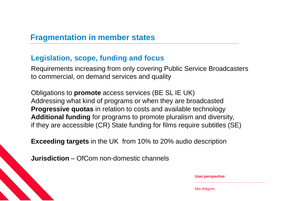#### **Fragmentation in member states**  ........................................................................................................................................................................................

### **Legislation, scope, funding and focus**

Requirements increasing from only covering Public Service Broadcasters to commercial, on demand services and quality

Obligations to **promote** access services (BE SL IE UK) Addressing what kind of programs or when they are broadcasted **Progressive quotas** in relation to costs and available technology **Additional funding** for programs to promote pluralism and diversity, if they are accessible (CR) State funding for films require subtitles (SE)

**Exceeding targets** in the UK from 10% to 20% audio description

**Jurisdiction** – OfCom non-domestic channels

| <b>User perspective</b> |  |
|-------------------------|--|
|                         |  |
| Mia Ahlgren             |  |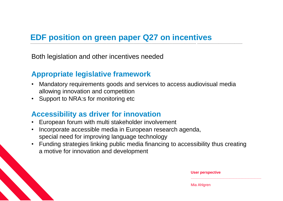#### **EDF position on green paper Q27 on incentives**  .................................................................................................................................................. ........................................

Both legislation and other incentives needed

### **Appropriate legislative framework**

- Mandatory requirements goods and services to access audiovisual media allowing innovation and competition
- Support to NRA:s for monitoring etc

### **Accessibility as driver for innovation**

- European forum with multi stakeholder involvement
- Incorporate accessible media in European research agenda, special need for improving language technology
- Funding strategies linking public media financing to accessibility thus creating a motive for innovation and development

| <b>User perspective</b><br>. |
|------------------------------|
| Mia Ahlgren                  |